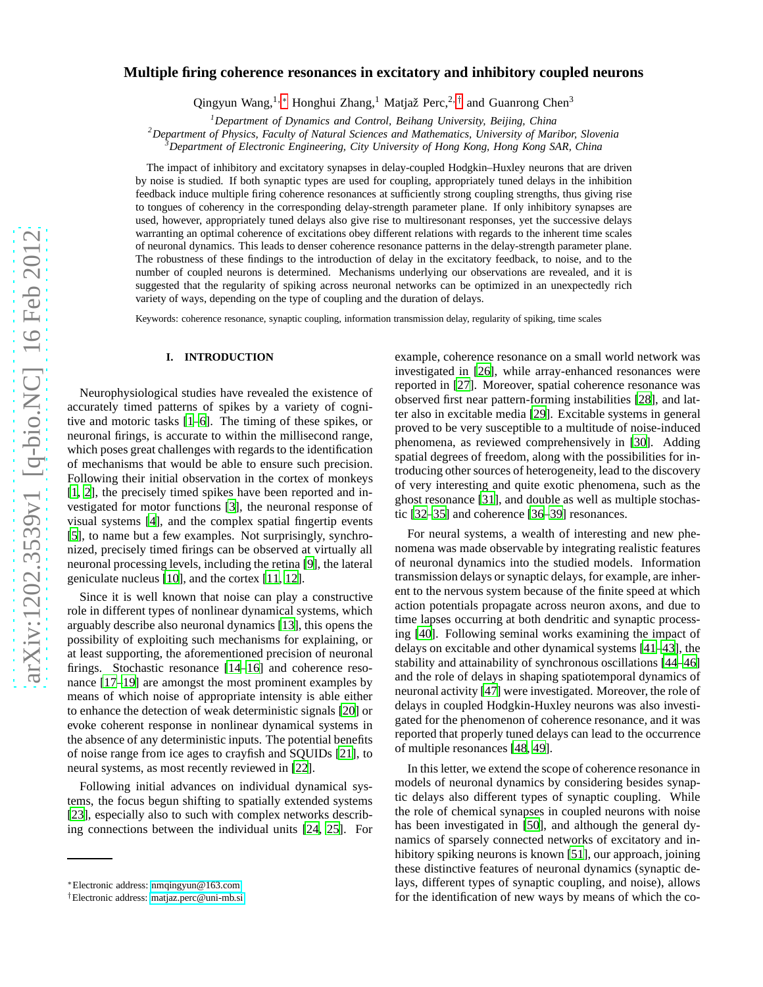# arXiv:1202.3539v1 [q-bio.NC] 16 Feb 2012 [arXiv:1202.3539v1 \[q-bio.NC\] 16 Feb 2012](http://arxiv.org/abs/1202.3539v1)

# **Multiple firing coherence resonances in excitatory and inhibitory coupled neurons**

Qingyun Wang,<sup>1,\*</sup> Honghui Zhang,<sup>1</sup> Matjaž Perc,<sup>2,[†](#page-0-1)</sup> and Guanrong Chen<sup>3</sup>

*<sup>1</sup>Department of Dynamics and Control, Beihang University, Beijing, China*

*<sup>2</sup>Department of Physics, Faculty of Natural Sciences and Mathematics, University of Maribor, Slovenia*

*<sup>3</sup>Department of Electronic Engineering, City University of Hong Kong, Hong Kong SAR, China*

The impact of inhibitory and excitatory synapses in delay-coupled Hodgkin–Huxley neurons that are driven by noise is studied. If both synaptic types are used for coupling, appropriately tuned delays in the inhibition feedback induce multiple firing coherence resonances at sufficiently strong coupling strengths, thus giving rise to tongues of coherency in the corresponding delay-strength parameter plane. If only inhibitory synapses are used, however, appropriately tuned delays also give rise to multiresonant responses, yet the successive delays warranting an optimal coherence of excitations obey different relations with regards to the inherent time scales of neuronal dynamics. This leads to denser coherence resonance patterns in the delay-strength parameter plane. The robustness of these findings to the introduction of delay in the excitatory feedback, to noise, and to the number of coupled neurons is determined. Mechanisms underlying our observations are revealed, and it is suggested that the regularity of spiking across neuronal networks can be optimized in an unexpectedly rich variety of ways, depending on the type of coupling and the duration of delays.

Keywords: coherence resonance, synaptic coupling, information transmission delay, regularity of spiking, time scales

# **I. INTRODUCTION**

Neurophysiological studies have revealed the existence of accurately timed patterns of spikes by a variety of cognitive and motoric tasks [\[1](#page-5-0)[–6](#page-5-1)]. The timing of these spikes, or neuronal firings, is accurate to within the millisecond range, which poses great challenges with regards to the identification of mechanisms that would be able to ensure such precision. Following their initial observation in the cortex of monkeys [\[1](#page-5-0), [2\]](#page-5-2), the precisely timed spikes have been reported and investigated for motor functions [\[3\]](#page-5-3), the neuronal response of visual systems [\[4](#page-5-4)], and the complex spatial fingertip events [\[5](#page-5-5)], to name but a few examples. Not surprisingly, synchronized, precisely timed firings can be observed at virtually all neuronal processing levels, including the retina [\[9\]](#page-5-6), the lateral geniculate nucleus [\[10\]](#page-5-7), and the cortex [\[11](#page-5-8), [12\]](#page-5-9).

Since it is well known that noise can play a constructive role in different types of nonlinear dynamical systems, which arguably describe also neuronal dynamics [\[13](#page-5-10)], this opens the possibility of exploiting such mechanisms for explaining, or at least supporting, the aforementioned precision of neuronal firings. Stochastic resonance [\[14](#page-5-11)[–16](#page-5-12)] and coherence resonance [\[17](#page-5-13)[–19\]](#page-5-14) are amongst the most prominent examples by means of which noise of appropriate intensity is able either to enhance the detection of weak deterministic signals [\[20](#page-5-15)] or evoke coherent response in nonlinear dynamical systems in the absence of any deterministic inputs. The potential benefits of noise range from ice ages to crayfish and SQUIDs [\[21\]](#page-5-16), to neural systems, as most recently reviewed in [\[22](#page-5-17)].

Following initial advances on individual dynamical systems, the focus begun shifting to spatially extended systems [\[23](#page-5-18)], especially also to such with complex networks describing connections between the individual units [\[24,](#page-5-19) [25](#page-5-20)]. For

example, coherence resonance on a small world network was investigated in [\[26\]](#page-6-0), while array-enhanced resonances were reported in [\[27](#page-6-1)]. Moreover, spatial coherence resonance was observed first near pattern-forming instabilities [\[28\]](#page-6-2), and latter also in excitable media [\[29](#page-6-3)]. Excitable systems in general proved to be very susceptible to a multitude of noise-induced phenomena, as reviewed comprehensively in [\[30\]](#page-6-4). Adding spatial degrees of freedom, along with the possibilities for introducing other sources of heterogeneity, lead to the discovery of very interesting and quite exotic phenomena, such as the ghost resonance [\[31\]](#page-6-5), and double as well as multiple stochastic [\[32](#page-6-6)[–35\]](#page-6-7) and coherence [\[36](#page-6-8)[–39\]](#page-6-9) resonances.

For neural systems, a wealth of interesting and new phenomena was made observable by integrating realistic features of neuronal dynamics into the studied models. Information transmission delays or synaptic delays, for example, are inherent to the nervous system because of the finite speed at which action potentials propagate across neuron axons, and due to time lapses occurring at both dendritic and synaptic processing [\[40](#page-6-10)]. Following seminal works examining the impact of delays on excitable and other dynamical systems [\[41](#page-6-11)[–43\]](#page-6-12), the stability and attainability of synchronous oscillations [\[44](#page-6-13)[–46\]](#page-6-14) and the role of delays in shaping spatiotemporal dynamics of neuronal activity [\[47\]](#page-6-15) were investigated. Moreover, the role of delays in coupled Hodgkin-Huxley neurons was also investigated for the phenomenon of coherence resonance, and it was reported that properly tuned delays can lead to the occurrence of multiple resonances [\[48](#page-6-16), [49\]](#page-6-17).

In this letter, we extend the scope of coherence resonance in models of neuronal dynamics by considering besides synaptic delays also different types of synaptic coupling. While the role of chemical synapses in coupled neurons with noise has been investigated in [\[50\]](#page-6-18), and although the general dynamics of sparsely connected networks of excitatory and in-hibitory spiking neurons is known [\[51\]](#page-6-19), our approach, joining these distinctive features of neuronal dynamics (synaptic delays, different types of synaptic coupling, and noise), allows for the identification of new ways by means of which the co-

<span id="page-0-0"></span><sup>∗</sup>Electronic address: [nmqingyun@163.com](mailto:nmqingyun@163.com)

<span id="page-0-1"></span><sup>†</sup>Electronic address: [matjaz.perc@uni-mb.si](mailto:matjaz.perc@uni-mb.si)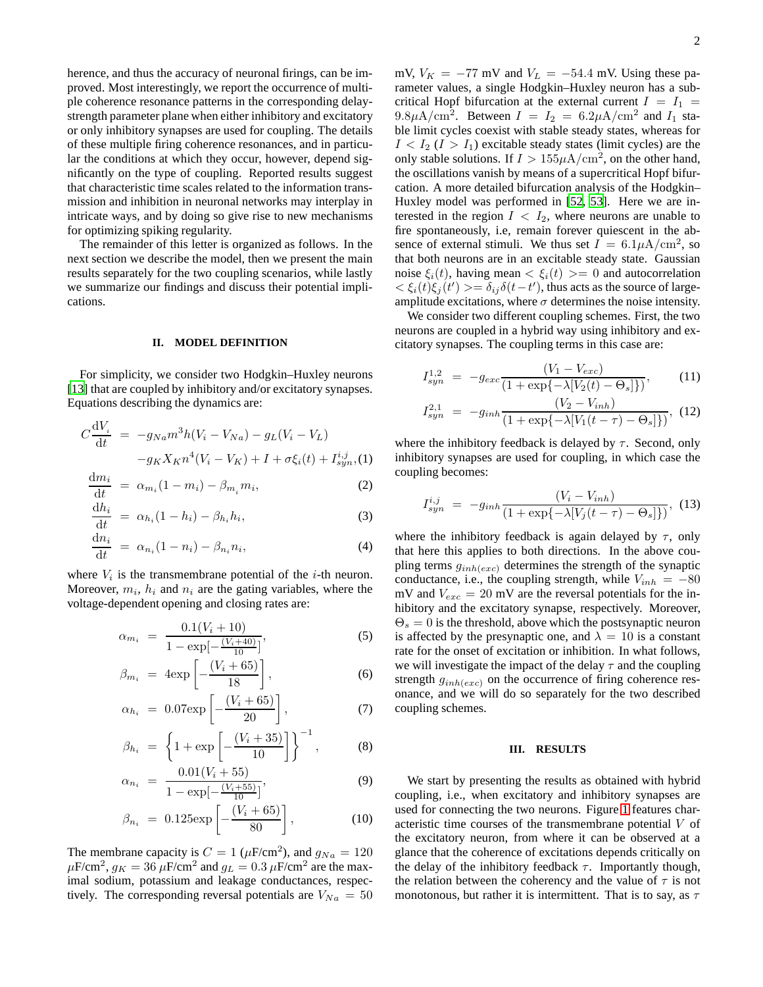herence, and thus the accuracy of neuronal firings, can be improved. Most interestingly, we report the occurrence of multiple coherence resonance patterns in the corresponding delaystrength parameter plane when either inhibitory and excitatory or only inhibitory synapses are used for coupling. The details of these multiple firing coherence resonances, and in particular the conditions at which they occur, however, depend significantly on the type of coupling. Reported results suggest that characteristic time scales related to the information transmission and inhibition in neuronal networks may interplay in intricate ways, and by doing so give rise to new mechanisms for optimizing spiking regularity.

The remainder of this letter is organized as follows. In the next section we describe the model, then we present the main results separately for the two coupling scenarios, while lastly we summarize our findings and discuss their potential implications.

# **II. MODEL DEFINITION**

For simplicity, we consider two Hodgkin–Huxley neurons [\[13](#page-5-10)] that are coupled by inhibitory and/or excitatory synapses. Equations describing the dynamics are:

$$
C\frac{\mathrm{d}V_i}{\mathrm{d}t} = -g_{Na}m^3h(V_i - V_{Na}) - g_L(V_i - V_L) -g_KX_Kn^4(V_i - V_K) + I + \sigma\xi_i(t) + I_{syn}^{i,j}
$$

$$
\frac{\mathrm{d}m_i}{\mathrm{d}t} = \alpha_{m_i}(1 - m_i) - \beta_{m_i} m_i,\tag{2}
$$

$$
\frac{\mathrm{d}h_i}{\mathrm{d}t} = \alpha_{h_i}(1 - h_i) - \beta_{h_i}h_i,\tag{3}
$$

$$
\frac{\mathrm{d}n_i}{\mathrm{d}t} = \alpha_{n_i}(1 - n_i) - \beta_{n_i} n_i,\tag{4}
$$

where  $V_i$  is the transmembrane potential of the *i*-th neuron. Moreover,  $m_i$ ,  $h_i$  and  $n_i$  are the gating variables, where the voltage-dependent opening and closing rates are:

$$
\alpha_{m_i} = \frac{0.1(V_i + 10)}{1 - \exp[-\frac{(V_i + 40)}{10}]},\tag{5}
$$

$$
\beta_{m_i} = 4 \exp\left[-\frac{(V_i + 65)}{18}\right],\tag{6}
$$

$$
\alpha_{h_i} = 0.07 \exp\left[-\frac{(V_i + 65)}{20}\right],\tag{7}
$$

$$
\beta_{h_i} = \left\{ 1 + \exp\left[ -\frac{(V_i + 35)}{10} \right] \right\}^{-1},\tag{8}
$$

$$
\alpha_{n_i} = \frac{0.01(V_i + 55)}{1 - \exp[-\frac{(V_i + 55)}{10}]},\tag{9}
$$

$$
\beta_{n_i} = 0.125 \exp\left[-\frac{(V_i + 65)}{80}\right],\tag{10}
$$

The membrane capacity is  $C = 1 \ (\mu \text{F/cm}^2)$ , and  $g_{Na} = 120$  $\mu$ F/cm<sup>2</sup>,  $g_K = 36 \ \mu$ F/cm<sup>2</sup> and  $g_L = 0.3 \ \mu$ F/cm<sup>2</sup> are the maximal sodium, potassium and leakage conductances, respectively. The corresponding reversal potentials are  $V_{Na} = 50$  mV,  $V_K = -77$  mV and  $V_L = -54.4$  mV. Using these parameter values, a single Hodgkin–Huxley neuron has a subcritical Hopf bifurcation at the external current  $I = I_1$  =  $9.8\mu\text{A}/\text{cm}^2$ . Between  $I = I_2 = 6.2\mu\text{A}/\text{cm}^2$  and  $I_1$  stable limit cycles coexist with stable steady states, whereas for  $I < I_2 (I > I_1)$  excitable steady states (limit cycles) are the only stable solutions. If  $I > 155 \mu\text{A}/\text{cm}^2$ , on the other hand, the oscillations vanish by means of a supercritical Hopf bifurcation. A more detailed bifurcation analysis of the Hodgkin– Huxley model was performed in [\[52,](#page-6-20) [53\]](#page-6-21). Here we are interested in the region  $I < I_2$ , where neurons are unable to fire spontaneously, i.e, remain forever quiescent in the absence of external stimuli. We thus set  $I = 6.1 \mu\text{A}/\text{cm}^2$ , so that both neurons are in an excitable steady state. Gaussian noise  $\xi_i(t)$ , having mean  $\langle \xi_i(t) \rangle = 0$  and autocorrelation  $<\xi_i(t)\xi_j(t')>=\delta_{ij}\delta(t-t')$ , thus acts as the source of largeamplitude excitations, where  $\sigma$  determines the noise intensity.

We consider two different coupling schemes. First, the two neurons are coupled in a hybrid way using inhibitory and excitatory synapses. The coupling terms in this case are:

$$
I_{syn}^{1,2} = -g_{exc} \frac{(V_1 - V_{exc})}{(1 + \exp\{-\lambda[V_2(t) - \Theta_s]\})},
$$
 (11)

$$
I_{syn}^{2,1} = -g_{inh} \frac{(V_2 - V_{inh})}{(1 + \exp\{-\lambda[V_1(t - \tau) - \Theta_s]\})}, (12)
$$

where the inhibitory feedback is delayed by  $\tau$ . Second, only inhibitory synapses are used for coupling, in which case the coupling becomes:

$$
I_{syn}^{i,j} = -g_{inh} \frac{(V_i - V_{inh})}{(1 + \exp\{-\lambda[V_j(t - \tau) - \Theta_s]\})}, (13)
$$

where the inhibitory feedback is again delayed by  $\tau$ , only that here this applies to both directions. In the above coupling terms  $g_{inh(exc)}$  determines the strength of the synaptic conductance, i.e., the coupling strength, while  $V_{inh} = -80$ mV and  $V_{exc} = 20$  mV are the reversal potentials for the inhibitory and the excitatory synapse, respectively. Moreover,  $\Theta_s = 0$  is the threshold, above which the postsynaptic neuron is affected by the presynaptic one, and  $\lambda = 10$  is a constant rate for the onset of excitation or inhibition. In what follows, we will investigate the impact of the delay  $\tau$  and the coupling strength  $g_{inh(exc)}$  on the occurrence of firing coherence resonance, and we will do so separately for the two described coupling schemes.

### **III. RESULTS**

We start by presenting the results as obtained with hybrid coupling, i.e., when excitatory and inhibitory synapses are used for connecting the two neurons. Figure [1](#page-2-0) features characteristic time courses of the transmembrane potential V of the excitatory neuron, from where it can be observed at a glance that the coherence of excitations depends critically on the delay of the inhibitory feedback  $\tau$ . Importantly though, the relation between the coherency and the value of  $\tau$  is not monotonous, but rather it is intermittent. That is to say, as  $\tau$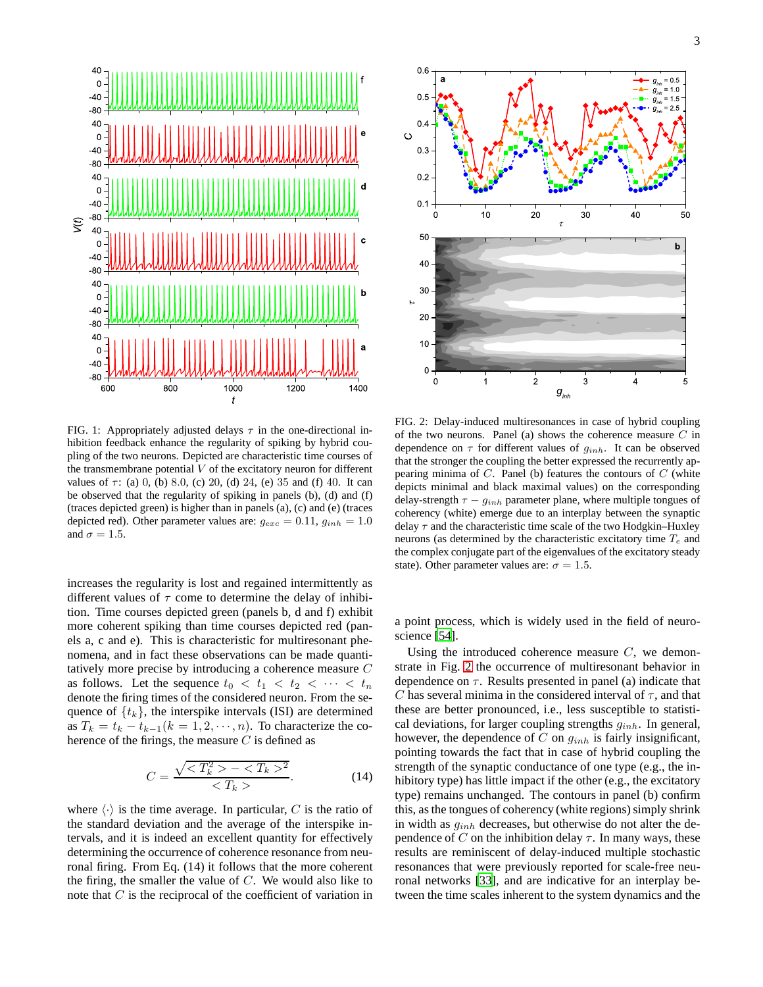

<span id="page-2-0"></span>FIG. 1: Appropriately adjusted delays  $\tau$  in the one-directional inhibition feedback enhance the regularity of spiking by hybrid coupling of the two neurons. Depicted are characteristic time courses of the transmembrane potential  $V$  of the excitatory neuron for different values of  $\tau$ : (a) 0, (b) 8.0, (c) 20, (d) 24, (e) 35 and (f) 40. It can be observed that the regularity of spiking in panels (b), (d) and (f) (traces depicted green) is higher than in panels (a), (c) and (e) (traces depicted red). Other parameter values are:  $g_{exc} = 0.11, g_{inh} = 1.0$ and  $\sigma = 1.5$ .

increases the regularity is lost and regained intermittently as different values of  $\tau$  come to determine the delay of inhibition. Time courses depicted green (panels b, d and f) exhibit more coherent spiking than time courses depicted red (panels a, c and e). This is characteristic for multiresonant phenomena, and in fact these observations can be made quantitatively more precise by introducing a coherence measure C as follows. Let the sequence  $t_0 < t_1 < t_2 < \cdots < t_n$ denote the firing times of the considered neuron. From the sequence of  $\{t_k\}$ , the interspike intervals (ISI) are determined as  $T_k = t_k - t_{k-1}(k = 1, 2, \dots, n)$ . To characterize the coherence of the firings, the measure  $C$  is defined as

$$
C = \frac{\sqrt{ - ^2}}{}. \tag{14}
$$

where  $\langle \cdot \rangle$  is the time average. In particular, C is the ratio of the standard deviation and the average of the interspike intervals, and it is indeed an excellent quantity for effectively determining the occurrence of coherence resonance from neuronal firing. From Eq. (14) it follows that the more coherent the firing, the smaller the value of  $C$ . We would also like to note that C is the reciprocal of the coefficient of variation in



<span id="page-2-1"></span>FIG. 2: Delay-induced multiresonances in case of hybrid coupling of the two neurons. Panel (a) shows the coherence measure  $C$  in dependence on  $\tau$  for different values of  $g_{inh}$ . It can be observed that the stronger the coupling the better expressed the recurrently appearing minima of  $C$ . Panel (b) features the contours of  $C$  (white depicts minimal and black maximal values) on the corresponding delay-strength  $\tau - q_{inh}$  parameter plane, where multiple tongues of coherency (white) emerge due to an interplay between the synaptic delay  $\tau$  and the characteristic time scale of the two Hodgkin–Huxley neurons (as determined by the characteristic excitatory time  $T_e$  and the complex conjugate part of the eigenvalues of the excitatory steady state). Other parameter values are:  $\sigma = 1.5$ .

a point process, which is widely used in the field of neuroscience [\[54](#page-6-22)].

Using the introduced coherence measure  $C$ , we demonstrate in Fig. [2](#page-2-1) the occurrence of multiresonant behavior in dependence on  $\tau$ . Results presented in panel (a) indicate that C has several minima in the considered interval of  $\tau$ , and that these are better pronounced, i.e., less susceptible to statistical deviations, for larger coupling strengths  $g_{inh}$ . In general, however, the dependence of  $C$  on  $g_{inh}$  is fairly insignificant, pointing towards the fact that in case of hybrid coupling the strength of the synaptic conductance of one type (e.g., the inhibitory type) has little impact if the other (e.g., the excitatory type) remains unchanged. The contours in panel (b) confirm this, as the tongues of coherency (white regions) simply shrink in width as  $g_{inh}$  decreases, but otherwise do not alter the dependence of C on the inhibition delay  $\tau$ . In many ways, these results are reminiscent of delay-induced multiple stochastic resonances that were previously reported for scale-free neuronal networks [\[33\]](#page-6-23), and are indicative for an interplay between the time scales inherent to the system dynamics and the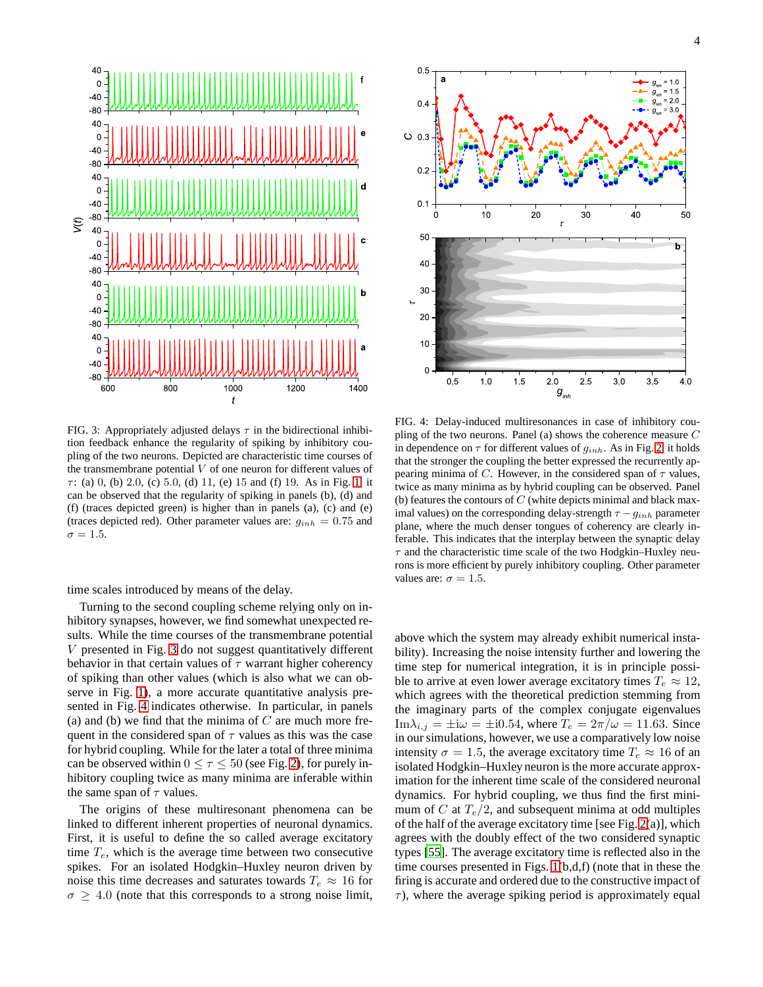

<span id="page-3-0"></span>FIG. 3: Appropriately adjusted delays  $\tau$  in the bidirectional inhibition feedback enhance the regularity of spiking by inhibitory coupling of the two neurons. Depicted are characteristic time courses of the transmembrane potential  $V$  of one neuron for different values of  $\tau$ : (a) 0, (b) 2.0, (c) 5.0, (d) 11, (e) 15 and (f) 19. As in Fig. [1,](#page-2-0) it can be observed that the regularity of spiking in panels (b), (d) and (f) (traces depicted green) is higher than in panels (a), (c) and (e) (traces depicted red). Other parameter values are:  $g_{inh} = 0.75$  and  $\sigma = 1.5$ .

time scales introduced by means of the delay.

Turning to the second coupling scheme relying only on inhibitory synapses, however, we find somewhat unexpected results. While the time courses of the transmembrane potential V presented in Fig. [3](#page-3-0) do not suggest quantitatively different behavior in that certain values of  $\tau$  warrant higher coherency of spiking than other values (which is also what we can observe in Fig. [1\)](#page-2-0), a more accurate quantitative analysis presented in Fig. [4](#page-3-1) indicates otherwise. In particular, in panels (a) and (b) we find that the minima of  $C$  are much more frequent in the considered span of  $\tau$  values as this was the case for hybrid coupling. While for the later a total of three minima can be observed within  $0 \le \tau \le 50$  (see Fig. [2\)](#page-2-1), for purely inhibitory coupling twice as many minima are inferable within the same span of  $\tau$  values.

The origins of these multiresonant phenomena can be linked to different inherent properties of neuronal dynamics. First, it is useful to define the so called average excitatory time  $T_e$ , which is the average time between two consecutive spikes. For an isolated Hodgkin–Huxley neuron driven by noise this time decreases and saturates towards  $T_e \approx 16$  for  $\sigma \geq 4.0$  (note that this corresponds to a strong noise limit,



<span id="page-3-1"></span>FIG. 4: Delay-induced multiresonances in case of inhibitory coupling of the two neurons. Panel (a) shows the coherence measure C in dependence on  $\tau$  for different values of  $g_{inh}$ . As in Fig. [2,](#page-2-1) it holds that the stronger the coupling the better expressed the recurrently appearing minima of C. However, in the considered span of  $\tau$  values, twice as many minima as by hybrid coupling can be observed. Panel (b) features the contours of  $C$  (white depicts minimal and black maximal values) on the corresponding delay-strength  $\tau - g_{inh}$  parameter plane, where the much denser tongues of coherency are clearly inferable. This indicates that the interplay between the synaptic delay  $\tau$  and the characteristic time scale of the two Hodgkin–Huxley neurons is more efficient by purely inhibitory coupling. Other parameter values are:  $\sigma = 1.5$ .

above which the system may already exhibit numerical instability). Increasing the noise intensity further and lowering the time step for numerical integration, it is in principle possible to arrive at even lower average excitatory times  $T_e \approx 12$ , which agrees with the theoretical prediction stemming from the imaginary parts of the complex conjugate eigenvalues  $\text{Im}\lambda_{i,j} = \pm i\omega = \pm i0.54$ , where  $T_e = 2\pi/\omega = 11.63$ . Since in our simulations, however, we use a comparatively low noise intensity  $\sigma = 1.5$ , the average excitatory time  $T_e \approx 16$  of an isolated Hodgkin–Huxley neuron is the more accurate approximation for the inherent time scale of the considered neuronal dynamics. For hybrid coupling, we thus find the first minimum of C at  $T_e/2$ , and subsequent minima at odd multiples of the half of the average excitatory time [see Fig. [2\(](#page-2-1)a)], which agrees with the doubly effect of the two considered synaptic types [\[55\]](#page-6-24). The average excitatory time is reflected also in the time courses presented in Figs. [1\(](#page-2-0)b,d,f) (note that in these the firing is accurate and ordered due to the constructive impact of  $\tau$ ), where the average spiking period is approximately equal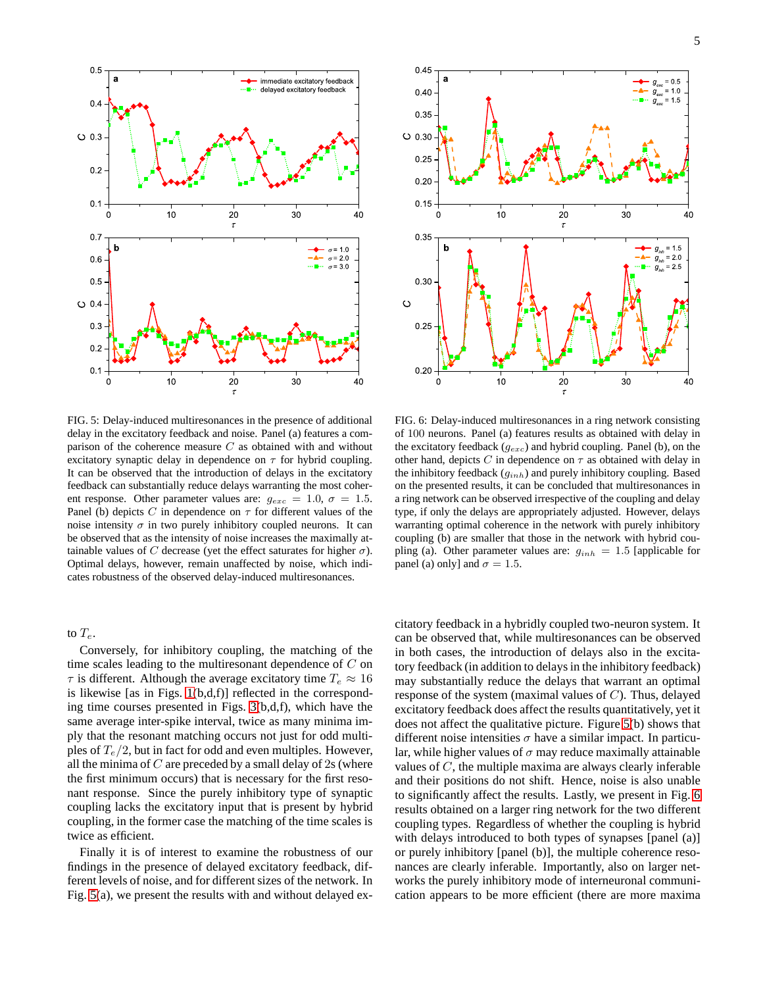

<span id="page-4-0"></span>FIG. 5: Delay-induced multiresonances in the presence of additional delay in the excitatory feedback and noise. Panel (a) features a comparison of the coherence measure  $C$  as obtained with and without excitatory synaptic delay in dependence on  $\tau$  for hybrid coupling. It can be observed that the introduction of delays in the excitatory feedback can substantially reduce delays warranting the most coherent response. Other parameter values are:  $g_{exc} = 1.0, \sigma = 1.5$ . Panel (b) depicts C in dependence on  $\tau$  for different values of the noise intensity  $\sigma$  in two purely inhibitory coupled neurons. It can be observed that as the intensity of noise increases the maximally attainable values of C decrease (yet the effect saturates for higher  $\sigma$ ). Optimal delays, however, remain unaffected by noise, which indicates robustness of the observed delay-induced multiresonances.

# to  $T_e$ .

Conversely, for inhibitory coupling, the matching of the time scales leading to the multiresonant dependence of C on  $\tau$  is different. Although the average excitatory time  $T_e \approx 16$ is likewise [as in Figs. [1\(](#page-2-0)b,d,f)] reflected in the corresponding time courses presented in Figs. [3\(](#page-3-0)b,d,f), which have the same average inter-spike interval, twice as many minima imply that the resonant matching occurs not just for odd multiples of  $T_e/2$ , but in fact for odd and even multiples. However, all the minima of  $C$  are preceded by a small delay of  $2s$  (where the first minimum occurs) that is necessary for the first resonant response. Since the purely inhibitory type of synaptic coupling lacks the excitatory input that is present by hybrid coupling, in the former case the matching of the time scales is twice as efficient.

Finally it is of interest to examine the robustness of our findings in the presence of delayed excitatory feedback, different levels of noise, and for different sizes of the network. In Fig. [5\(](#page-4-0)a), we present the results with and without delayed ex-



<span id="page-4-1"></span>FIG. 6: Delay-induced multiresonances in a ring network consisting of 100 neurons. Panel (a) features results as obtained with delay in the excitatory feedback ( $q_{exc}$ ) and hybrid coupling. Panel (b), on the other hand, depicts C in dependence on  $\tau$  as obtained with delay in the inhibitory feedback  $(g_{inh})$  and purely inhibitory coupling. Based on the presented results, it can be concluded that multiresonances in a ring network can be observed irrespective of the coupling and delay type, if only the delays are appropriately adjusted. However, delays warranting optimal coherence in the network with purely inhibitory coupling (b) are smaller that those in the network with hybrid coupling (a). Other parameter values are:  $g_{inh} = 1.5$  [applicable for panel (a) only] and  $\sigma = 1.5$ .

citatory feedback in a hybridly coupled two-neuron system. It can be observed that, while multiresonances can be observed in both cases, the introduction of delays also in the excitatory feedback (in addition to delays in the inhibitory feedback) may substantially reduce the delays that warrant an optimal response of the system (maximal values of C). Thus, delayed excitatory feedback does affect the results quantitatively, yet it does not affect the qualitative picture. Figure [5\(](#page-4-0)b) shows that different noise intensities  $\sigma$  have a similar impact. In particular, while higher values of  $\sigma$  may reduce maximally attainable values of C, the multiple maxima are always clearly inferable and their positions do not shift. Hence, noise is also unable to significantly affect the results. Lastly, we present in Fig. [6](#page-4-1) results obtained on a larger ring network for the two different coupling types. Regardless of whether the coupling is hybrid with delays introduced to both types of synapses [panel (a)] or purely inhibitory [panel (b)], the multiple coherence resonances are clearly inferable. Importantly, also on larger networks the purely inhibitory mode of interneuronal communication appears to be more efficient (there are more maxima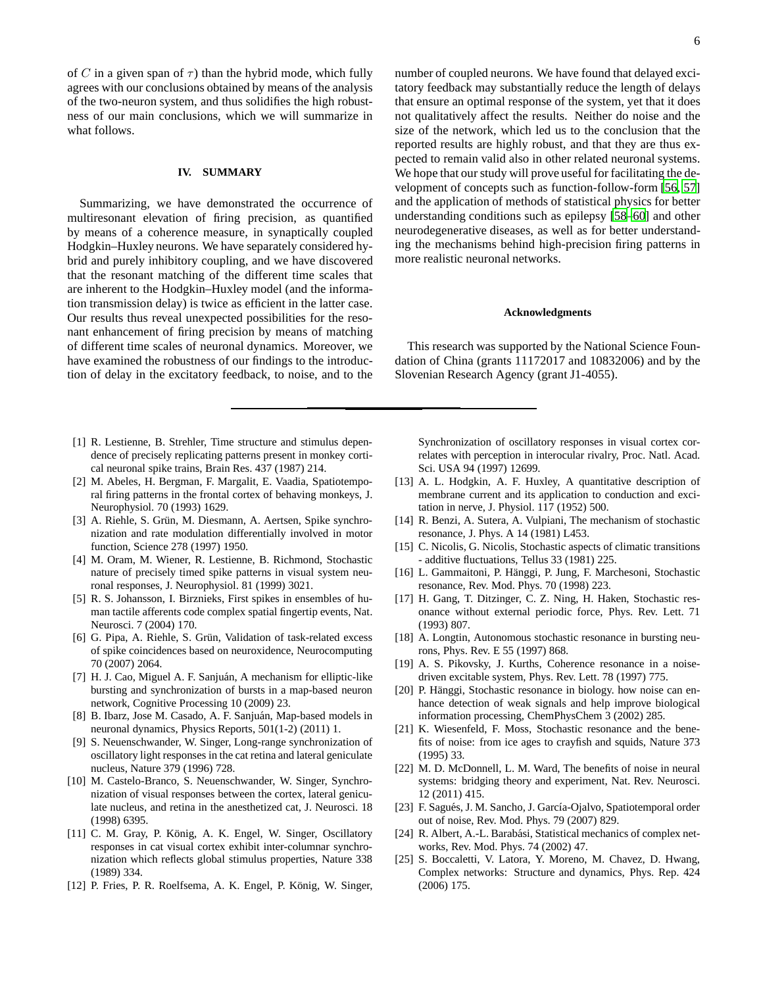of C in a given span of  $\tau$ ) than the hybrid mode, which fully agrees with our conclusions obtained by means of the analysis of the two-neuron system, and thus solidifies the high robustness of our main conclusions, which we will summarize in what follows.

# **IV. SUMMARY**

Summarizing, we have demonstrated the occurrence of multiresonant elevation of firing precision, as quantified by means of a coherence measure, in synaptically coupled Hodgkin–Huxley neurons. We have separately considered hybrid and purely inhibitory coupling, and we have discovered that the resonant matching of the different time scales that are inherent to the Hodgkin–Huxley model (and the information transmission delay) is twice as efficient in the latter case. Our results thus reveal unexpected possibilities for the resonant enhancement of firing precision by means of matching of different time scales of neuronal dynamics. Moreover, we have examined the robustness of our findings to the introduction of delay in the excitatory feedback, to noise, and to the

- <span id="page-5-0"></span>[1] R. Lestienne, B. Strehler, Time structure and stimulus dependence of precisely replicating patterns present in monkey cortical neuronal spike trains, Brain Res. 437 (1987) 214.
- <span id="page-5-2"></span>[2] M. Abeles, H. Bergman, F. Margalit, E. Vaadia, Spatiotemporal firing patterns in the frontal cortex of behaving monkeys, J. Neurophysiol. 70 (1993) 1629.
- <span id="page-5-3"></span>[3] A. Riehle, S. Grün, M. Diesmann, A. Aertsen, Spike synchronization and rate modulation differentially involved in motor function, Science 278 (1997) 1950.
- <span id="page-5-4"></span>[4] M. Oram, M. Wiener, R. Lestienne, B. Richmond, Stochastic nature of precisely timed spike patterns in visual system neuronal responses, J. Neurophysiol. 81 (1999) 3021.
- <span id="page-5-5"></span>[5] R. S. Johansson, I. Birznieks, First spikes in ensembles of human tactile afferents code complex spatial fingertip events, Nat. Neurosci. 7 (2004) 170.
- <span id="page-5-1"></span>[6] G. Pipa, A. Riehle, S. Grün, Validation of task-related excess of spike coincidences based on neuroxidence, Neurocomputing 70 (2007) 2064.
- [7] H. J. Cao, Miguel A. F. Sanjuán, A mechanism for elliptic-like bursting and synchronization of bursts in a map-based neuron network, Cognitive Processing 10 (2009) 23.
- [8] B. Ibarz, Jose M. Casado, A. F. Sanjuán, Map-based models in neuronal dynamics, Physics Reports, 501(1-2) (2011) 1.
- <span id="page-5-6"></span>[9] S. Neuenschwander, W. Singer, Long-range synchronization of oscillatory light responses in the cat retina and lateral geniculate nucleus, Nature 379 (1996) 728.
- <span id="page-5-7"></span>[10] M. Castelo-Branco, S. Neuenschwander, W. Singer, Synchronization of visual responses between the cortex, lateral geniculate nucleus, and retina in the anesthetized cat, J. Neurosci. 18 (1998) 6395.
- <span id="page-5-8"></span>[11] C. M. Gray, P. König, A. K. Engel, W. Singer, Oscillatory responses in cat visual cortex exhibit inter-columnar synchronization which reflects global stimulus properties, Nature 338 (1989) 334.
- <span id="page-5-9"></span>[12] P. Fries, P. R. Roelfsema, A. K. Engel, P. König, W. Singer,

number of coupled neurons. We have found that delayed excitatory feedback may substantially reduce the length of delays that ensure an optimal response of the system, yet that it does not qualitatively affect the results. Neither do noise and the size of the network, which led us to the conclusion that the reported results are highly robust, and that they are thus expected to remain valid also in other related neuronal systems. We hope that our study will prove useful for facilitating the development of concepts such as function-follow-form [\[56,](#page-6-25) [57\]](#page-6-26) and the application of methods of statistical physics for better understanding conditions such as epilepsy [\[58](#page-6-27)[–60\]](#page-6-28) and other neurodegenerative diseases, as well as for better understanding the mechanisms behind high-precision firing patterns in more realistic neuronal networks.

### **Acknowledgments**

This research was supported by the National Science Foundation of China (grants 11172017 and 10832006) and by the Slovenian Research Agency (grant J1-4055).

Synchronization of oscillatory responses in visual cortex correlates with perception in interocular rivalry, Proc. Natl. Acad. Sci. USA 94 (1997) 12699.

- <span id="page-5-10"></span>[13] A. L. Hodgkin, A. F. Huxley, A quantitative description of membrane current and its application to conduction and excitation in nerve, J. Physiol. 117 (1952) 500.
- <span id="page-5-11"></span>[14] R. Benzi, A. Sutera, A. Vulpiani, The mechanism of stochastic resonance, J. Phys. A 14 (1981) L453.
- [15] C. Nicolis, G. Nicolis, Stochastic aspects of climatic transitions - additive fluctuations, Tellus 33 (1981) 225.
- <span id="page-5-12"></span>[16] L. Gammaitoni, P. Hänggi, P. Jung, F. Marchesoni, Stochastic resonance, Rev. Mod. Phys. 70 (1998) 223.
- <span id="page-5-13"></span>[17] H. Gang, T. Ditzinger, C. Z. Ning, H. Haken, Stochastic resonance without external periodic force, Phys. Rev. Lett. 71 (1993) 807.
- [18] A. Longtin, Autonomous stochastic resonance in bursting neurons, Phys. Rev. E 55 (1997) 868.
- <span id="page-5-14"></span>[19] A. S. Pikovsky, J. Kurths, Coherence resonance in a noisedriven excitable system, Phys. Rev. Lett. 78 (1997) 775.
- <span id="page-5-15"></span>[20] P. Hänggi, Stochastic resonance in biology. how noise can enhance detection of weak signals and help improve biological information processing, ChemPhysChem 3 (2002) 285.
- <span id="page-5-16"></span>[21] K. Wiesenfeld, F. Moss, Stochastic resonance and the benefits of noise: from ice ages to crayfish and squids, Nature 373 (1995) 33.
- <span id="page-5-17"></span>[22] M. D. McDonnell, L. M. Ward, The benefits of noise in neural systems: bridging theory and experiment, Nat. Rev. Neurosci. 12 (2011) 415.
- <span id="page-5-18"></span>[23] F. Sagués, J. M. Sancho, J. García-Ojalvo, Spatiotemporal order out of noise, Rev. Mod. Phys. 79 (2007) 829.
- <span id="page-5-19"></span>[24] R. Albert, A.-L. Barabási, Statistical mechanics of complex networks, Rev. Mod. Phys. 74 (2002) 47.
- <span id="page-5-20"></span>[25] S. Boccaletti, V. Latora, Y. Moreno, M. Chavez, D. Hwang, Complex networks: Structure and dynamics, Phys. Rep. 424 (2006) 175.